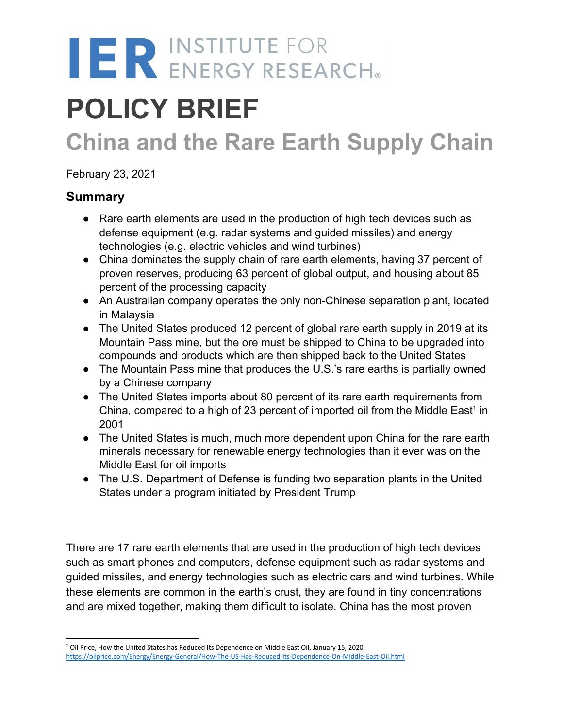# IER INSTITUTE FOR

# **POLICY BRIEF**

# **China and the Rare Earth Supply Chain**

February 23, 2021

## **Summary**

- Rare earth elements are used in the production of high tech devices such as defense equipment (e.g. radar systems and guided missiles) and energy technologies (e.g. electric vehicles and wind turbines)
- China dominates the supply chain of rare earth elements, having 37 percent of proven reserves, producing 63 percent of global output, and housing about 85 percent of the processing capacity
- An Australian company operates the only non-Chinese separation plant, located in Malaysia
- The United States produced 12 percent of global rare earth supply in 2019 at its Mountain Pass mine, but the ore must be shipped to China to be upgraded into compounds and products which are then shipped back to the United States
- The Mountain Pass mine that produces the U.S.'s rare earths is partially owned by a Chinese company
- The United States imports about 80 percent of its rare earth requirements from China, compared to a high of 23 percent of imported oil from the Middle East<sup>1</sup> in 2001
- *●* The United States is much, much more dependent upon China for the rare earth minerals necessary for renewable energy technologies than it ever was on the Middle East for oil imports
- The U.S. Department of Defense is funding two separation plants in the United States under a program initiated by President Trump

There are 17 rare earth elements that are used in the production of high tech devices such as smart phones and computers, defense equipment such as radar systems and guided missiles, and energy technologies such as electric cars and wind turbines. While these elements are common in the earth's crust, they are found in tiny concentrations and are mixed together, making them difficult to isolate. China has the most proven

<sup>&</sup>lt;sup>1</sup> Oil Price, How the United States has Reduced Its Dependence on Middle East Oil, January 15, 2020, <https://oilprice.com/Energy/Energy-General/How-The-US-Has-Reduced-Its-Dependence-On-Middle-East-Oil.html>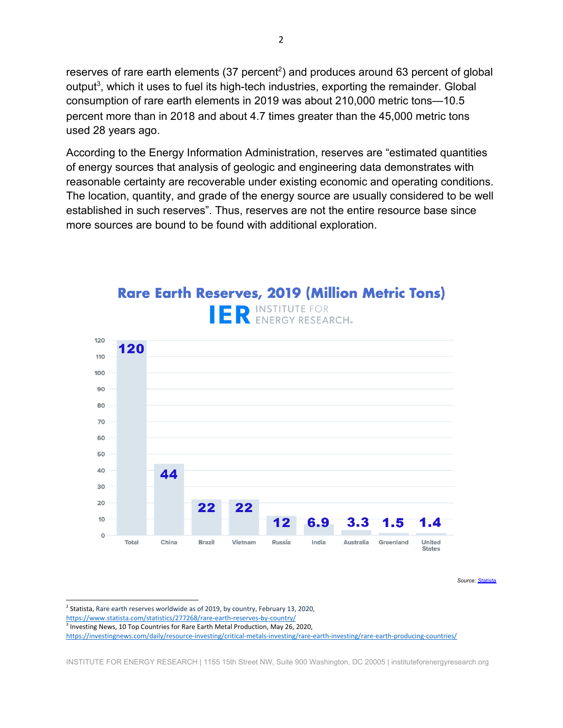reserves of rare earth elements (37 percent<sup>2</sup>) and produces around 63 percent of global output<sup>3</sup>, which it uses to fuel its high-tech industries, exporting the remainder. Global consumption of rare earth elements in 2019 was about 210,000 metric tons—10.5 percent more than in 2018 and about 4.7 times greater than the 45,000 metric tons used 28 years ago.

According to the Energy Information Administration, reserves are "estimated quantities of energy sources that analysis of geologic and engineering data demonstrates with reasonable certainty are recoverable under existing economic and operating conditions. The location, quantity, and grade of the energy source are usually considered to be well established in such reserves". Thus, reserves are not the entire resource base since more sources are bound to be found with additional exploration.



# **Rare Earth Reserves, 2019 (Million Metric Tons)** INSTITUTE FOR

*Source: [Statista](https://www.statista.com/statistics/277268/rare-earth-reserves-by-country/)*

 $^2$  Statista, Rare earth reserves worldwide as of 2019, by country, February 13, 2020,

<https://www.statista.com/statistics/277268/rare-earth-reserves-by-country/>

<sup>&</sup>lt;sup>3</sup> Investing News, 10 Top Countries for Rare Earth Metal Production, May 26, 2020,

<https://investingnews.com/daily/resource-investing/critical-metals-investing/rare-earth-investing/rare-earth-producing-countries/>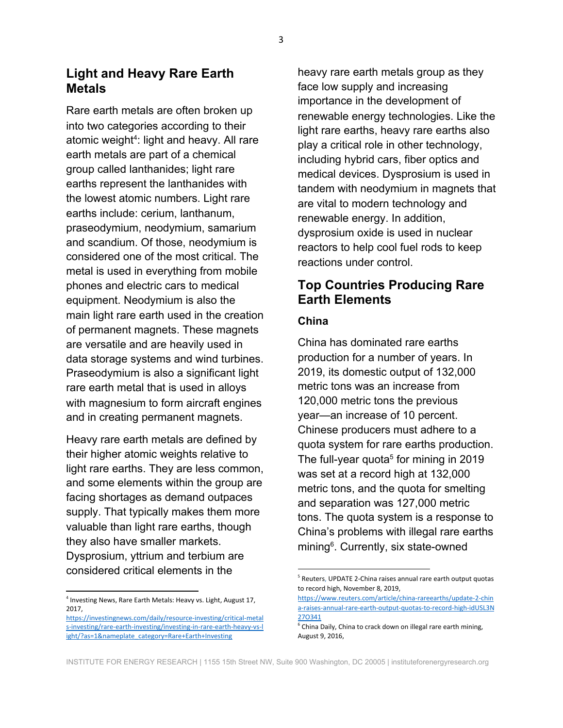Rare earth metals are often broken up into two categories according to their atomic weight<sup>4</sup>: light and heavy. All rare earth metals are part of a chemical group called lanthanides; light rare earths represent the lanthanides with the lowest atomic numbers. Light rare earths include: cerium, lanthanum, praseodymium, neodymium, samarium and scandium. Of those, neodymium is considered one of the most critical. The metal is used in everything from mobile phones and electric cars to medical equipment. Neodymium is also the main light rare earth used in the creation of permanent magnets. These magnets are versatile and are heavily used in data storage systems and wind turbines. Praseodymium is also a significant light rare earth metal that is used in alloys with magnesium to form aircraft engines and in creating permanent magnets.

Heavy rare earth metals are defined by their higher atomic weights relative to light rare earths. They are less common, and some elements within the group are facing shortages as demand outpaces supply. That typically makes them more valuable than light rare earths, though they also have smaller markets. Dysprosium, yttrium and terbium are considered critical elements in the

heavy rare earth metals group as they face low supply and increasing importance in the development of renewable energy technologies. Like the light rare earths, heavy rare earths also play a critical role in other technology, including hybrid cars, fiber optics and medical devices. Dysprosium is used in tandem with neodymium in magnets that are vital to modern technology and renewable energy. In addition, dysprosium oxide is used in nuclear reactors to help cool fuel rods to keep reactions under control.

### **Top Countries Producing Rare Earth Elements**

#### **China**

China has dominated rare earths production for a number of years. In 2019, its domestic output of 132,000 metric tons was an increase from 120,000 metric tons the previous year—an increase of 10 percent. Chinese producers must adhere to a quota system for rare earths production. The full-year quota<sup>5</sup> for mining in 2019 was set at a record high at 132,000 metric tons, and the quota for smelting and separation was 127,000 metric tons. The quota system is a response to China's problems with illegal rare earths mining<sup>6</sup>. Currently, six state-owned

<sup>&</sup>lt;sup>4</sup> Investing News, Rare Earth Metals: Heavy vs. Light, August 17, 2017,

[https://investingnews.com/daily/resource-investing/critical-metal](https://investingnews.com/daily/resource-investing/critical-metals-investing/rare-earth-investing/investing-in-rare-earth-heavy-vs-light/?as=1&nameplate_category=Rare+Earth+Investing) [s-investing/rare-earth-investing/investing-in-rare-earth-heavy-vs-l](https://investingnews.com/daily/resource-investing/critical-metals-investing/rare-earth-investing/investing-in-rare-earth-heavy-vs-light/?as=1&nameplate_category=Rare+Earth+Investing) [ight/?as=1&nameplate\\_category=Rare+Earth+Investing](https://investingnews.com/daily/resource-investing/critical-metals-investing/rare-earth-investing/investing-in-rare-earth-heavy-vs-light/?as=1&nameplate_category=Rare+Earth+Investing)

<sup>&</sup>lt;sup>5</sup> Reuters, UPDATE 2-China raises annual rare earth output quotas to record high, November 8, 2019,

[https://www.reuters.com/article/china-rareearths/update-2-chin](https://www.reuters.com/article/china-rareearths/update-2-china-raises-annual-rare-earth-output-quotas-to-record-high-idUSL3N27O341) [a-raises-annual-rare-earth-output-quotas-to-record-high-idUSL3N](https://www.reuters.com/article/china-rareearths/update-2-china-raises-annual-rare-earth-output-quotas-to-record-high-idUSL3N27O341) [27O341](https://www.reuters.com/article/china-rareearths/update-2-china-raises-annual-rare-earth-output-quotas-to-record-high-idUSL3N27O341)

 $6$  China Daily, China to crack down on illegal rare earth mining, August 9, 2016,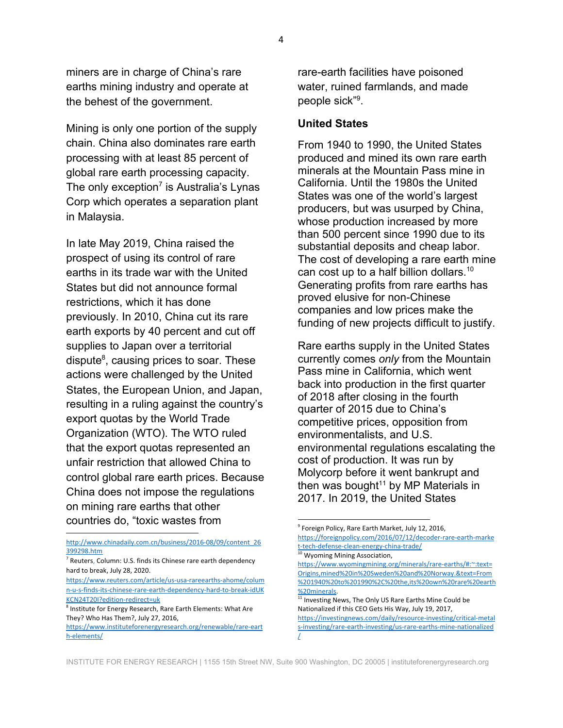miners are in charge of China's rare earths mining industry and operate at the behest of the government.

Mining is only one portion of the supply chain. China also dominates rare earth processing with at least 85 percent of global rare earth processing capacity. The only exception<sup>7</sup> is Australia's Lynas Corp which operates a separation plant in Malaysia.

In late May 2019, China raised the prospect of using its control of rare earths in its trade war with the United States but did not announce formal restrictions, which it has done previously. In 2010, China cut its rare earth exports by 40 percent and cut off supplies to Japan over a territorial dispute<sup>8</sup>, causing prices to soar. These actions were challenged by the United States, the European Union, and Japan, resulting in a ruling against the country's export quotas by the World Trade Organization (WTO). The WTO ruled that the export quotas represented an unfair restriction that allowed China to control global rare earth prices. Because China does not impose the regulations on mining rare earths that other countries do, "toxic wastes from

[http://www.chinadaily.com.cn/business/2016-08/09/content\\_26](http://www.chinadaily.com.cn/business/2016-08/09/content_26399298.htm) [399298.htm](http://www.chinadaily.com.cn/business/2016-08/09/content_26399298.htm)

<sup>7</sup> Reuters, Column: U.S. finds its Chinese rare earth dependency hard to break, July 28, 2020.

[https://www.reuters.com/article/us-usa-rareearths-ahome/colum](https://www.reuters.com/article/us-usa-rareearths-ahome/column-u-s-finds-its-chinese-rare-earth-dependency-hard-to-break-idUKKCN24T20I?edition-redirect=uk) [n-u-s-finds-its-chinese-rare-earth-dependency-hard-to-break-idUK](https://www.reuters.com/article/us-usa-rareearths-ahome/column-u-s-finds-its-chinese-rare-earth-dependency-hard-to-break-idUKKCN24T20I?edition-redirect=uk) [KCN24T20I?edition-redirect=uk](https://www.reuters.com/article/us-usa-rareearths-ahome/column-u-s-finds-its-chinese-rare-earth-dependency-hard-to-break-idUKKCN24T20I?edition-redirect=uk)

<sup>8</sup> Institute for Energy Research, Rare Earth Elements: What Are They? Who Has Them?, July 27, 2016,

[https://www.instituteforenergyresearch.org/renewable/rare-eart](https://www.instituteforenergyresearch.org/renewable/rare-earth-elements/) [h-elements/](https://www.instituteforenergyresearch.org/renewable/rare-earth-elements/)

rare-earth facilities have poisoned water, ruined farmlands, and made people sick"<sup>9</sup> .

#### **United States**

From 1940 to 1990, the United States produced and mined its own rare earth minerals at the Mountain Pass mine in California. Until the 1980s the United States was one of the world's largest producers, but was usurped by China, whose production increased by more than 500 percent since 1990 due to its substantial deposits and cheap labor. The cost of developing a rare earth mine can cost up to a half billion dollars.<sup>10</sup> Generating profits from rare earths has proved elusive for non-Chinese companies and low prices make the funding of new projects difficult to justify.

Rare earths supply in the United States currently comes *only* from the Mountain Pass mine in California, which went back into production in the first quarter of 2018 after closing in the fourth quarter of 2015 due to China's competitive prices, opposition from environmentalists, and U.S. environmental regulations escalating the cost of production. It was run by Molycorp before it went bankrupt and then was bought $11$  by MP Materials in 2017. In 2019, the United States

<sup>10</sup> Wyoming Mining Association, [https://www.wyomingmining.org/minerals/rare-earths/#:~:text=](https://www.wyomingmining.org/minerals/rare-earths/#:~:text=Origins,mined%20in%20Sweden%20and%20Norway.&text=From%201940%20to%201990%2C%20the,its%20own%20rare%20earth%20minerals) [Origins,mined%20in%20Sweden%20and%20Norway.&text=From](https://www.wyomingmining.org/minerals/rare-earths/#:~:text=Origins,mined%20in%20Sweden%20and%20Norway.&text=From%201940%20to%201990%2C%20the,its%20own%20rare%20earth%20minerals) [%201940%20to%201990%2C%20the,its%20own%20rare%20earth](https://www.wyomingmining.org/minerals/rare-earths/#:~:text=Origins,mined%20in%20Sweden%20and%20Norway.&text=From%201940%20to%201990%2C%20the,its%20own%20rare%20earth%20minerals) [%20minerals.](https://www.wyomingmining.org/minerals/rare-earths/#:~:text=Origins,mined%20in%20Sweden%20and%20Norway.&text=From%201940%20to%201990%2C%20the,its%20own%20rare%20earth%20minerals)

INSTITUTE FOR ENERGY RESEARCH | 1155 15th Street NW, Suite 900 Washington, DC 20005 | instituteforenergyresearch.org

<sup>9</sup> Foreign Policy, Rare Earth Market, July 12, 2016, [https://foreignpolicy.com/2016/07/12/decoder-rare-earth-marke](https://foreignpolicy.com/2016/07/12/decoder-rare-earth-market-tech-defense-clean-energy-china-trade/) [t-tech-defense-clean-energy-china-trade/](https://foreignpolicy.com/2016/07/12/decoder-rare-earth-market-tech-defense-clean-energy-china-trade/)

<sup>&</sup>lt;sup>11</sup> Investing News, The Only US Rare Earths Mine Could be Nationalized if this CEO Gets His Way, July 19, 2017, [https://investingnews.com/daily/resource-investing/critical-metal](https://investingnews.com/daily/resource-investing/critical-metals-investing/rare-earth-investing/us-rare-earths-mine-nationalized/) [s-investing/rare-earth-investing/us-rare-earths-mine-nationalized](https://investingnews.com/daily/resource-investing/critical-metals-investing/rare-earth-investing/us-rare-earths-mine-nationalized/) [/](https://investingnews.com/daily/resource-investing/critical-metals-investing/rare-earth-investing/us-rare-earths-mine-nationalized/)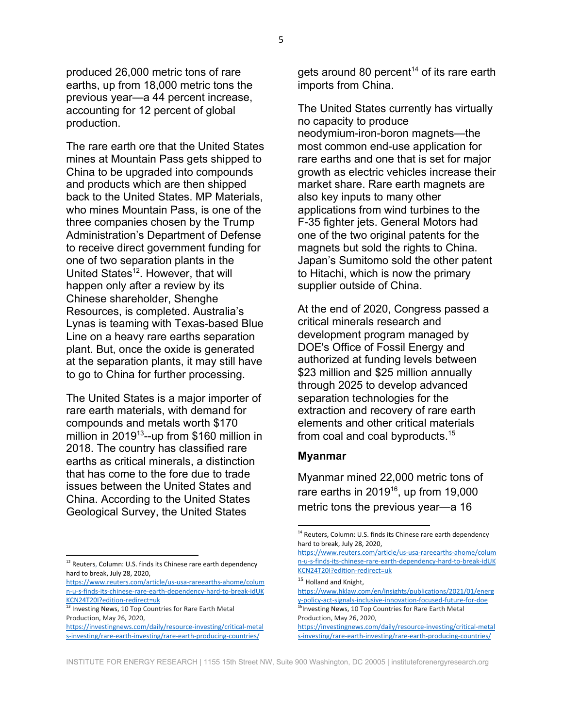produced 26,000 metric tons of rare earths, up from 18,000 metric tons the previous year—a 44 percent increase, accounting for 12 percent of global production.

The rare earth ore that the United States mines at Mountain Pass gets shipped to China to be upgraded into compounds and products which are then shipped back to the United States. MP Materials, who mines Mountain Pass, is one of the three companies chosen by the Trump Administration's Department of Defense to receive direct government funding for one of two separation plants in the United States<sup>12</sup>. However, that will happen only after a review by its Chinese shareholder, Shenghe Resources, is completed. Australia's Lynas is teaming with Texas-based Blue Line on a heavy rare earths separation plant. But, once the oxide is generated at the separation plants, it may still have to go to China for further processing.

The United States is a major importer of rare earth materials, with demand for compounds and metals worth \$170 million in 2019<sup>13</sup>--up from \$160 million in 2018. The country has classified rare earths as critical minerals, a distinction that has come to the fore due to trade issues between the United States and China. According to the United States Geological Survey, the United States

gets around 80 percent<sup>14</sup> of its rare earth imports from China.

The United States currently has virtually no capacity to produce neodymium-iron-boron magnets—the most common end-use application for rare earths and one that is set for major growth as electric vehicles increase their market share. Rare earth magnets are also key inputs to many other applications from wind turbines to the F-35 fighter jets. General Motors had one of the two original patents for the magnets but sold the rights to China. Japan's Sumitomo sold the other patent to Hitachi, which is now the primary supplier outside of China.

At the end of 2020, Congress passed a critical minerals research and development program managed by DOE's Office of Fossil Energy and authorized at funding levels between \$23 million and \$25 million annually through 2025 to develop advanced separation technologies for the extraction and recovery of rare earth elements and other critical materials from coal and coal byproducts.<sup>15</sup>

#### **Myanmar**

Myanmar mined 22,000 metric tons of rare earths in 2019<sup>16</sup>, up from 19,000 metric tons the previous year—a 16

<sup>&</sup>lt;sup>12</sup> Reuters, Column: U.S. finds its Chinese rare earth dependency hard to break, July 28, 2020,

[https://www.reuters.com/article/us-usa-rareearths-ahome/colum](https://www.reuters.com/article/us-usa-rareearths-ahome/column-u-s-finds-its-chinese-rare-earth-dependency-hard-to-break-idUKKCN24T20I?edition-redirect=uk) [n-u-s-finds-its-chinese-rare-earth-dependency-hard-to-break-idUK](https://www.reuters.com/article/us-usa-rareearths-ahome/column-u-s-finds-its-chinese-rare-earth-dependency-hard-to-break-idUKKCN24T20I?edition-redirect=uk) [KCN24T20I?edition-redirect=uk](https://www.reuters.com/article/us-usa-rareearths-ahome/column-u-s-finds-its-chinese-rare-earth-dependency-hard-to-break-idUKKCN24T20I?edition-redirect=uk)

<sup>&</sup>lt;sup>13</sup> Investing News, 10 Top Countries for Rare Earth Metal Production, May 26, 2020,

[https://investingnews.com/daily/resource-investing/critical-metal](https://investingnews.com/daily/resource-investing/critical-metals-investing/rare-earth-investing/rare-earth-producing-countries/) [s-investing/rare-earth-investing/rare-earth-producing-countries/](https://investingnews.com/daily/resource-investing/critical-metals-investing/rare-earth-investing/rare-earth-producing-countries/)

<sup>&</sup>lt;sup>14</sup> Reuters, Column: U.S. finds its Chinese rare earth dependency hard to break, July 28, 2020,

[https://www.reuters.com/article/us-usa-rareearths-ahome/colum](https://www.reuters.com/article/us-usa-rareearths-ahome/column-u-s-finds-its-chinese-rare-earth-dependency-hard-to-break-idUKKCN24T20I?edition-redirect=uk) [n-u-s-finds-its-chinese-rare-earth-dependency-hard-to-break-idUK](https://www.reuters.com/article/us-usa-rareearths-ahome/column-u-s-finds-its-chinese-rare-earth-dependency-hard-to-break-idUKKCN24T20I?edition-redirect=uk) [KCN24T20I?edition-redirect=uk](https://www.reuters.com/article/us-usa-rareearths-ahome/column-u-s-finds-its-chinese-rare-earth-dependency-hard-to-break-idUKKCN24T20I?edition-redirect=uk)

<sup>15</sup> Holland and Knight,

[https://www.hklaw.com/en/insights/publications/2021/01/energ](https://www.hklaw.com/en/insights/publications/2021/01/energy-policy-act-signals-inclusive-innovation-focused-future-for-doe) [y-policy-act-signals-inclusive-innovation-focused-future-for-doe](https://www.hklaw.com/en/insights/publications/2021/01/energy-policy-act-signals-inclusive-innovation-focused-future-for-doe) <sup>16</sup> Investing News, 10 Top Countries for Rare Earth Metal Production, May 26, 2020,

[https://investingnews.com/daily/resource-investing/critical-metal](https://investingnews.com/daily/resource-investing/critical-metals-investing/rare-earth-investing/rare-earth-producing-countries/) [s-investing/rare-earth-investing/rare-earth-producing-countries/](https://investingnews.com/daily/resource-investing/critical-metals-investing/rare-earth-investing/rare-earth-producing-countries/)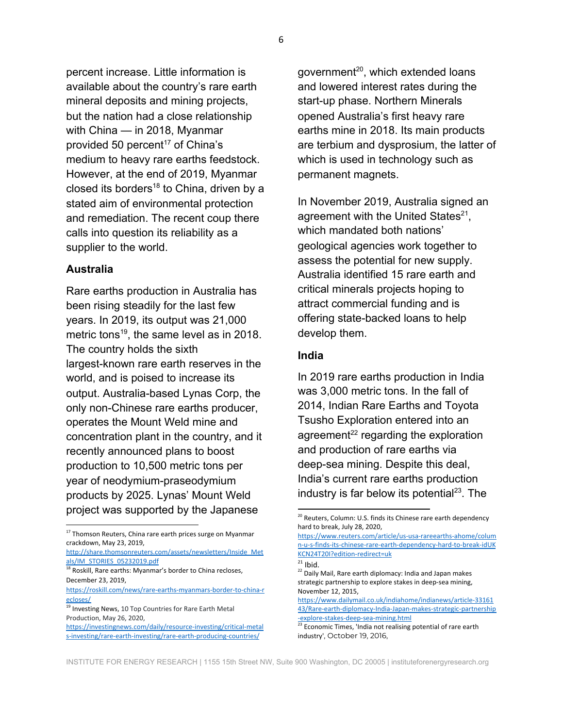percent increase. Little information is available about the country's rare earth mineral deposits and mining projects, but the nation had a close relationship with China — in 2018, Myanmar provided 50 percent<sup>17</sup> of China's medium to heavy rare earths feedstock. However, at the end of 2019, Myanmar closed its borders<sup>18</sup> to China, driven by a stated aim of environmental protection and remediation. The recent coup there calls into question its reliability as a supplier to the world.

#### **Australia**

Rare earths production in Australia has been rising steadily for the last few years. In 2019, its output was 21,000 metric tons<sup>19</sup>, the same level as in 2018. The country holds the sixth largest-known rare earth reserves in the world, and is poised to increase its output. Australia-based Lynas Corp, the only non-Chinese rare earths producer, operates the Mount Weld mine and concentration plant in the country, and it recently announced plans to boost production to 10,500 metric tons per year of neodymium-praseodymium products by 2025. Lynas' Mount Weld project was supported by the Japanese

government<sup>20</sup>, which extended loans and lowered interest rates during the start-up phase. Northern Minerals opened Australia's first heavy rare earths mine in 2018. Its main products are terbium and dysprosium, the latter of which is used in technology such as permanent magnets.

In November 2019, Australia signed an agreement with the United States<sup>21</sup>, which mandated both nations' geological agencies work together to assess the potential for new supply. Australia identified 15 rare earth and critical minerals projects hoping to attract commercial funding and is offering state-backed loans to help develop them.

#### **India**

In 2019 rare earths production in India was 3,000 metric tons. In the fall of 2014, Indian Rare Earths and Toyota Tsusho Exploration entered into an agreement<sup>22</sup> regarding the exploration and production of rare earths via deep-sea mining. Despite this deal, India's current rare earths production industry is far below its potential $^{23}$ . The

<sup>&</sup>lt;sup>17</sup> Thomson Reuters, China rare earth prices surge on Myanmar crackdown, May 23, 2019,

[http://share.thomsonreuters.com/assets/newsletters/Inside\\_Met](http://share.thomsonreuters.com/assets/newsletters/Inside_Metals/IM_STORIES_05232019.pdf) [als/IM\\_STORIES\\_05232019.pdf](http://share.thomsonreuters.com/assets/newsletters/Inside_Metals/IM_STORIES_05232019.pdf)

<sup>&</sup>lt;sup>18</sup> Roskill, Rare earths: Myanmar's border to China recloses, December 23, 2019,

[https://roskill.com/news/rare-earths-myanmars-border-to-china-r](https://roskill.com/news/rare-earths-myanmars-border-to-china-recloses/) [ecloses/](https://roskill.com/news/rare-earths-myanmars-border-to-china-recloses/)

<sup>&</sup>lt;sup>19</sup> Investing News, 10 Top Countries for Rare Earth Metal Production, May 26, 2020,

[https://investingnews.com/daily/resource-investing/critical-metal](https://investingnews.com/daily/resource-investing/critical-metals-investing/rare-earth-investing/rare-earth-producing-countries/) [s-investing/rare-earth-investing/rare-earth-producing-countries/](https://investingnews.com/daily/resource-investing/critical-metals-investing/rare-earth-investing/rare-earth-producing-countries/)

<sup>&</sup>lt;sup>20</sup> Reuters, Column: U.S. finds its Chinese rare earth dependency hard to break, July 28, 2020,

[https://www.reuters.com/article/us-usa-rareearths-ahome/colum](https://www.reuters.com/article/us-usa-rareearths-ahome/column-u-s-finds-its-chinese-rare-earth-dependency-hard-to-break-idUKKCN24T20I?edition-redirect=uk) [n-u-s-finds-its-chinese-rare-earth-dependency-hard-to-break-idUK](https://www.reuters.com/article/us-usa-rareearths-ahome/column-u-s-finds-its-chinese-rare-earth-dependency-hard-to-break-idUKKCN24T20I?edition-redirect=uk) [KCN24T20I?edition-redirect=uk](https://www.reuters.com/article/us-usa-rareearths-ahome/column-u-s-finds-its-chinese-rare-earth-dependency-hard-to-break-idUKKCN24T20I?edition-redirect=uk)

 $^{21}$  Ibid.

<sup>&</sup>lt;sup>22</sup> Daily Mail, Rare earth diplomacy: India and Japan makes strategic partnership to explore stakes in deep-sea mining, November 12, 2015,

[https://www.dailymail.co.uk/indiahome/indianews/article-33161](https://www.dailymail.co.uk/indiahome/indianews/article-3316143/Rare-earth-diplomacy-India-Japan-makes-strategic-partnership-explore-stakes-deep-sea-mining.html) [43/Rare-earth-diplomacy-India-Japan-makes-strategic-partnership](https://www.dailymail.co.uk/indiahome/indianews/article-3316143/Rare-earth-diplomacy-India-Japan-makes-strategic-partnership-explore-stakes-deep-sea-mining.html) [-explore-stakes-deep-sea-mining.html](https://www.dailymail.co.uk/indiahome/indianews/article-3316143/Rare-earth-diplomacy-India-Japan-makes-strategic-partnership-explore-stakes-deep-sea-mining.html)

 $23$  Economic Times, 'India not realising potential of rare earth industry', October 19, 2016,

INSTITUTE FOR ENERGY RESEARCH | 1155 15th Street NW, Suite 900 Washington, DC 20005 | instituteforenergyresearch.org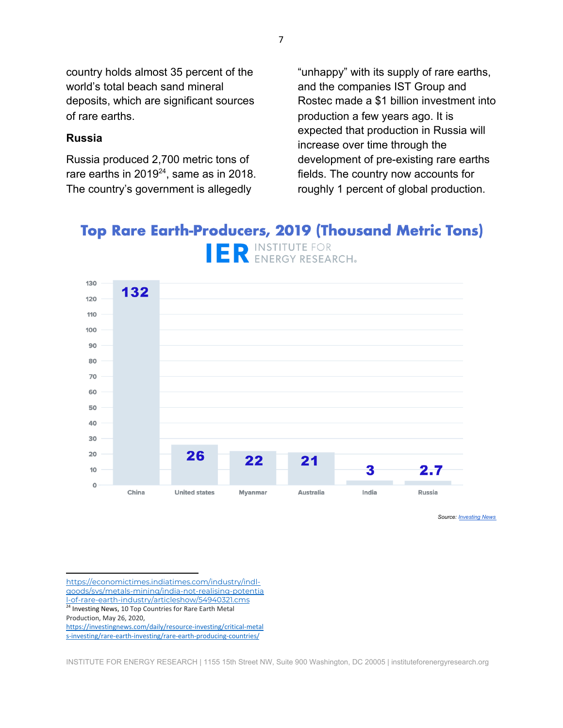country holds almost 35 percent of the world's total beach sand mineral deposits, which are significant sources of rare earths.

#### **Russia**

Russia produced 2,700 metric tons of rare earths in 2019 $^{24}$ , same as in 2018. The country's government is allegedly

"unhappy" with its supply of rare earths, and the companies IST Group and Rostec made a \$1 billion investment into production a few years ago. It is expected that production in Russia will increase over time through the development of pre-existing rare earths fields. The country now accounts for roughly 1 percent of global production.

# **Top Rare Earth-Producers, 2019 (Thousand Metric Tons)** IER INSTITUTE FOR



*Source: [Investing News](https://investingnews.com/daily/resource-investing/critical-metals-investing/rare-earth-investing/rare-earth-producing-countries/)*

[https://economictimes.indiatimes.com/industry/indl](https://economictimes.indiatimes.com/industry/indl-goods/svs/metals-mining/india-not-realising-potential-of-rare-earth-industry/articleshow/54940321.cms)[goods/svs/metals-mining/india-not-realising-potentia](https://economictimes.indiatimes.com/industry/indl-goods/svs/metals-mining/india-not-realising-potential-of-rare-earth-industry/articleshow/54940321.cms) [l-of-rare-earth-industry/articleshow/54940321.cms](https://economictimes.indiatimes.com/industry/indl-goods/svs/metals-mining/india-not-realising-potential-of-rare-earth-industry/articleshow/54940321.cms) <sup>24</sup> Investing News, 10 Top Countries for Rare Earth Metal

Production, May 26, 2020,

[https://investingnews.com/daily/resource-investing/critical-metal](https://investingnews.com/daily/resource-investing/critical-metals-investing/rare-earth-investing/rare-earth-producing-countries/) [s-investing/rare-earth-investing/rare-earth-producing-countries/](https://investingnews.com/daily/resource-investing/critical-metals-investing/rare-earth-investing/rare-earth-producing-countries/)